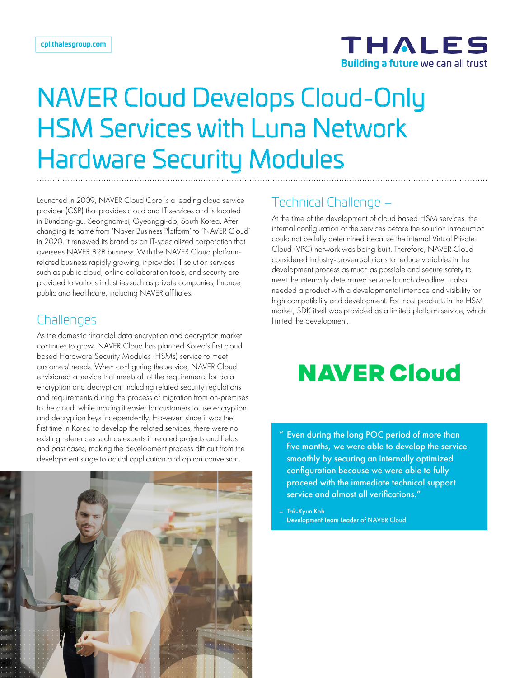

# NAVER Cloud Develops Cloud-Only HSM Services with Luna Network Hardware Security Modules

Launched in 2009, NAVER Cloud Corp is a leading cloud service provider (CSP) that provides cloud and IT services and is located in Bundang-gu, Seongnam-si, Gyeonggi-do, South Korea. After changing its name from 'Naver Business Platform' to 'NAVER Cloud' in 2020, it renewed its brand as an IT-specialized corporation that oversees NAVER B2B business. With the NAVER Cloud platformrelated business rapidly growing, it provides IT solution services such as public cloud, online collaboration tools, and security are provided to various industries such as private companies, finance, public and healthcare, including NAVER affiliates.

## Challenges

As the domestic financial data encryption and decryption market continues to grow, NAVER Cloud has planned Korea's first cloud based Hardware Security Modules (HSMs) service to meet customers' needs. When configuring the service, NAVER Cloud envisioned a service that meets all of the requirements for data encryption and decryption, including related security regulations and requirements during the process of migration from on-premises to the cloud, while making it easier for customers to use encryption and decryption keys independently. However, since it was the first time in Korea to develop the related services, there were no existing references such as experts in related projects and fields and past cases, making the development process difficult from the development stage to actual application and option conversion.



# Technical Challenge –

At the time of the development of cloud based HSM services, the internal configuration of the services before the solution introduction could not be fully determined because the internal Virtual Private Cloud (VPC) network was being built. Therefore, NAVER Cloud considered industry-proven solutions to reduce variables in the development process as much as possible and secure safety to meet the internally determined service launch deadline. It also needed a product with a developmental interface and visibility for high compatibility and development. For most products in the HSM market, SDK itself was provided as a limited platform service, which limited the development.

# **NAVER Cloud**

Even during the long POC period of more than five months, we were able to develop the service smoothly by securing an internally optimized configuration because we were able to fully proceed with the immediate technical support service and almost all verifications."

– Tak-Kyun Koh Development Team Leader of NAVER Cloud